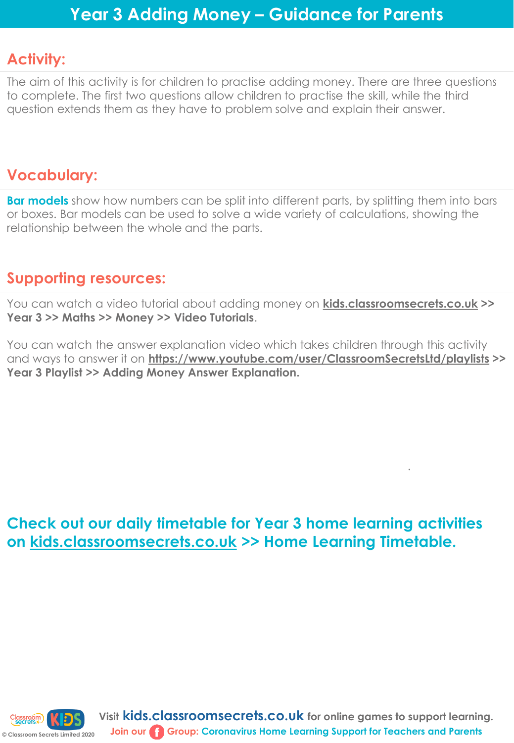## **Activity:**

The aim of this activity is for children to practise adding money. There are three questions to complete. The first two questions allow children to practise the skill, while the third question extends them as they have to problem solve and explain their answer.

## **Vocabulary:**

**Bar models** show how numbers can be split into different parts, by splitting them into bars or boxes. Bar models can be used to solve a wide variety of calculations, showing the relationship between the whole and the parts.

## **Supporting resources:**

You can watch a video tutorial about adding money on **[kids.classroomsecrets.co.uk](https://kids.classroomsecrets.co.uk/) >> Year 3 >> Maths >> Money >> Video Tutorials**.

You can watch the answer explanation video which takes children through this activity and ways to answer it on **<https://www.youtube.com/user/ClassroomSecretsLtd/playlists> >> Year 3 Playlist >> Adding Money Answer Explanation.** 

.

**Check out our daily timetable for Year 3 home learning activities on [kids.classroomsecrets.co.uk](https://kids.classroomsecrets.co.uk/) >> Home Learning Timetable.**